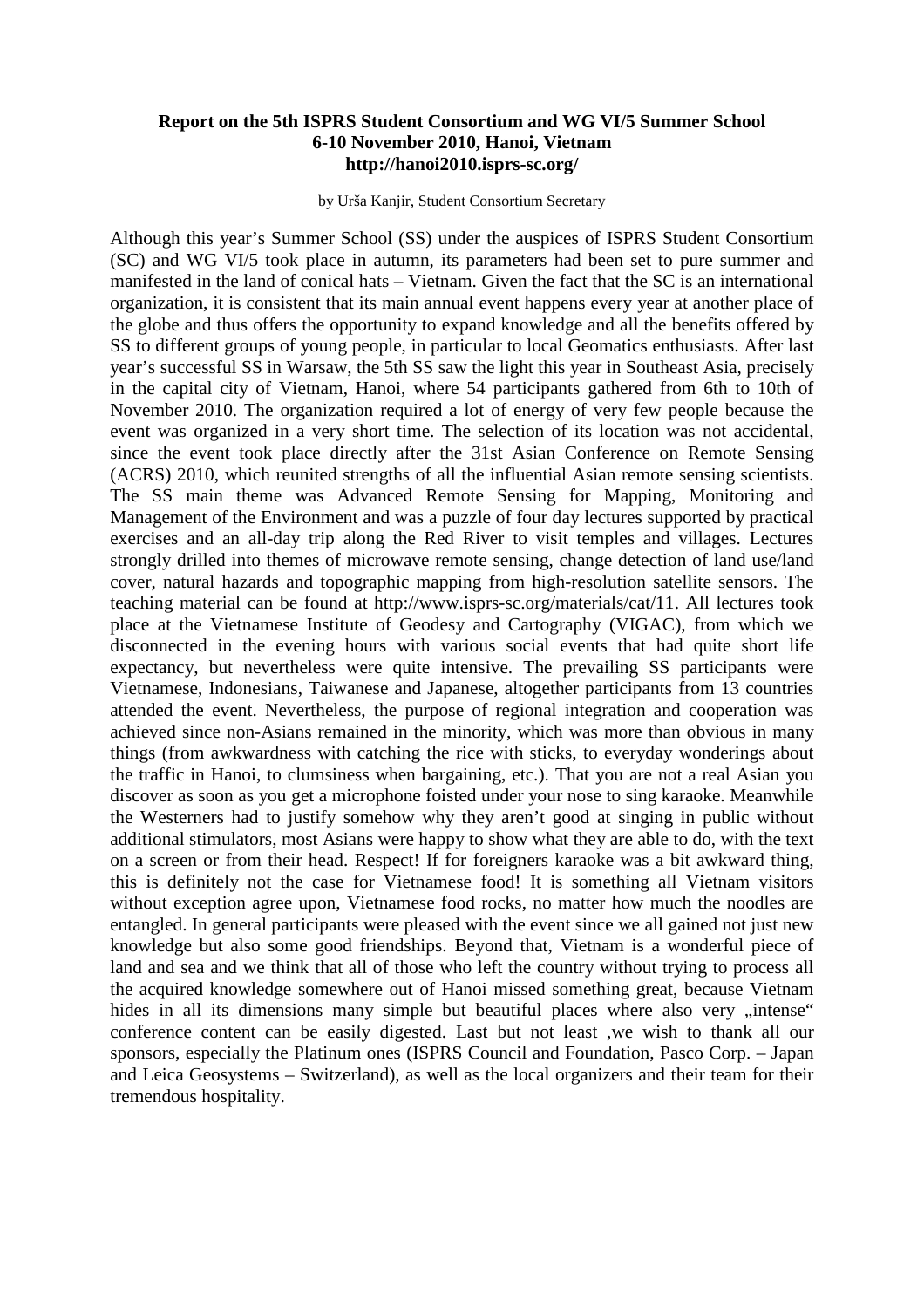## **Report on the 5th ISPRS Student Consortium and WG VI/5 Summer School 6-10 November 2010, Hanoi, Vietnam http://hanoi2010.isprs-sc.org/**

by Urša Kanjir, Student Consortium Secretary

Although this year's Summer School (SS) under the auspices of ISPRS Student Consortium (SC) and WG VI/5 took place in autumn, its parameters had been set to pure summer and manifested in the land of conical hats – Vietnam. Given the fact that the SC is an international organization, it is consistent that its main annual event happens every year at another place of the globe and thus offers the opportunity to expand knowledge and all the benefits offered by SS to different groups of young people, in particular to local Geomatics enthusiasts. After last year's successful SS in Warsaw, the 5th SS saw the light this year in Southeast Asia, precisely in the capital city of Vietnam, Hanoi, where 54 participants gathered from 6th to 10th of November 2010. The organization required a lot of energy of very few people because the event was organized in a very short time. The selection of its location was not accidental, since the event took place directly after the 31st Asian Conference on Remote Sensing (ACRS) 2010, which reunited strengths of all the influential Asian remote sensing scientists. The SS main theme was Advanced Remote Sensing for Mapping, Monitoring and Management of the Environment and was a puzzle of four day lectures supported by practical exercises and an all-day trip along the Red River to visit temples and villages. Lectures strongly drilled into themes of microwave remote sensing, change detection of land use/land cover, natural hazards and topographic mapping from high-resolution satellite sensors. The teaching material can be found at http://www.isprs-sc.org/materials/cat/11. All lectures took place at the Vietnamese Institute of Geodesy and Cartography (VIGAC), from which we disconnected in the evening hours with various social events that had quite short life expectancy, but nevertheless were quite intensive. The prevailing SS participants were Vietnamese, Indonesians, Taiwanese and Japanese, altogether participants from 13 countries attended the event. Nevertheless, the purpose of regional integration and cooperation was achieved since non-Asians remained in the minority, which was more than obvious in many things (from awkwardness with catching the rice with sticks, to everyday wonderings about the traffic in Hanoi, to clumsiness when bargaining, etc.). That you are not a real Asian you discover as soon as you get a microphone foisted under your nose to sing karaoke. Meanwhile the Westerners had to justify somehow why they aren't good at singing in public without additional stimulators, most Asians were happy to show what they are able to do, with the text on a screen or from their head. Respect! If for foreigners karaoke was a bit awkward thing, this is definitely not the case for Vietnamese food! It is something all Vietnam visitors without exception agree upon, Vietnamese food rocks, no matter how much the noodles are entangled. In general participants were pleased with the event since we all gained not just new knowledge but also some good friendships. Beyond that, Vietnam is a wonderful piece of land and sea and we think that all of those who left the country without trying to process all the acquired knowledge somewhere out of Hanoi missed something great, because Vietnam hides in all its dimensions many simple but beautiful places where also very "intense" conference content can be easily digested. Last but not least ,we wish to thank all our sponsors, especially the Platinum ones (ISPRS Council and Foundation, Pasco Corp. – Japan and Leica Geosystems – Switzerland), as well as the local organizers and their team for their tremendous hospitality.